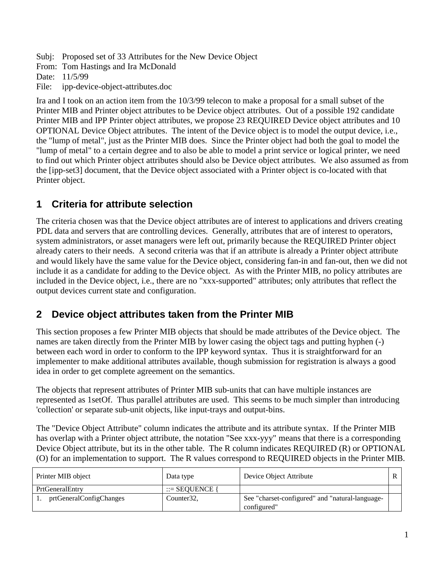Subj: Proposed set of 33 Attributes for the New Device Object

From: Tom Hastings and Ira McDonald

Date: 11/5/99

File: ipp-device-object-attributes.doc

Ira and I took on an action item from the 10/3/99 telecon to make a proposal for a small subset of the Printer MIB and Printer object attributes to be Device object attributes. Out of a possible 192 candidate Printer MIB and IPP Printer object attributes, we propose 23 REQUIRED Device object attributes and 10 OPTIONAL Device Object attributes. The intent of the Device object is to model the output device, i.e., the "lump of metal", just as the Printer MIB does. Since the Printer object had both the goal to model the "lump of metal" to a certain degree and to also be able to model a print service or logical printer, we need to find out which Printer object attributes should also be Device object attributes. We also assumed as from the [ipp-set3] document, that the Device object associated with a Printer object is co-located with that Printer object.

## **1 Criteria for attribute selection**

The criteria chosen was that the Device object attributes are of interest to applications and drivers creating PDL data and servers that are controlling devices. Generally, attributes that are of interest to operators, system administrators, or asset managers were left out, primarily because the REQUIRED Printer object already caters to their needs. A second criteria was that if an attribute is already a Printer object attribute and would likely have the same value for the Device object, considering fan-in and fan-out, then we did not include it as a candidate for adding to the Device object. As with the Printer MIB, no policy attributes are included in the Device object, i.e., there are no "xxx-supported" attributes; only attributes that reflect the output devices current state and configuration.

## **2 Device object attributes taken from the Printer MIB**

This section proposes a few Printer MIB objects that should be made attributes of the Device object. The names are taken directly from the Printer MIB by lower casing the object tags and putting hyphen (-) between each word in order to conform to the IPP keyword syntax. Thus it is straightforward for an implementer to make additional attributes available, though submission for registration is always a good idea in order to get complete agreement on the semantics.

The objects that represent attributes of Printer MIB sub-units that can have multiple instances are represented as 1setOf. Thus parallel attributes are used. This seems to be much simpler than introducing 'collection' or separate sub-unit objects, like input-trays and output-bins.

The "Device Object Attribute" column indicates the attribute and its attribute syntax. If the Printer MIB has overlap with a Printer object attribute, the notation "See xxx-yyy" means that there is a corresponding Device Object attribute, but its in the other table. The R column indicates REQUIRED (R) or OPTIONAL (O) for an implementation to support. The R values correspond to REQUIRED objects in the Printer MIB.

| Printer MIB object      | Data type         | Device Object Attribute                                        |  |
|-------------------------|-------------------|----------------------------------------------------------------|--|
| PrtGeneralEntry         | $ ::=$ SEOUENCE { |                                                                |  |
| prtGeneralConfigChanges | Counter32,        | See "charset-configured" and "natural-language-<br>configured" |  |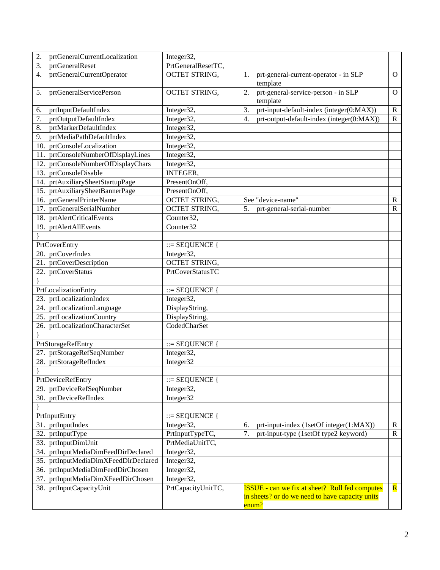| 2.<br>prtGeneralCurrentLocalization  | Integer32,           |                                                                                                                   |                         |
|--------------------------------------|----------------------|-------------------------------------------------------------------------------------------------------------------|-------------------------|
| 3.<br>prtGeneralReset                | PrtGeneralResetTC,   |                                                                                                                   |                         |
| prtGeneralCurrentOperator<br>4.      | <b>OCTET STRING,</b> | prt-general-current-operator - in SLP<br>1.<br>template                                                           | O                       |
| prtGeneralServicePerson<br>5.        | OCTET STRING,        | prt-general-service-person - in SLP<br>2.<br>template                                                             | О                       |
| prtInputDefaultIndex<br>6.           | Integer32,           | 3.<br>prt-input-default-index (integer(0:MAX))                                                                    | $\mathbf R$             |
| prtOutputDefaultIndex<br>7.          | Integer32,           | prt-output-default-index (integer(0:MAX))<br>4.                                                                   | $\mathbb{R}$            |
| prtMarkerDefaultIndex<br>8.          | Integer32,           |                                                                                                                   |                         |
| prtMediaPathDefaultIndex<br>9.       | Integer32,           |                                                                                                                   |                         |
| 10. prtConsoleLocalization           | Integer32,           |                                                                                                                   |                         |
| 11. prtConsoleNumberOfDisplayLines   | Integer32,           |                                                                                                                   |                         |
| 12. prtConsoleNumberOfDisplayChars   | Integer32,           |                                                                                                                   |                         |
| 13. prtConsoleDisable                | <b>INTEGER,</b>      |                                                                                                                   |                         |
| 14. prtAuxiliarySheetStartupPage     | PresentOnOff,        |                                                                                                                   |                         |
| 15. prtAuxiliarySheetBannerPage      | PresentOnOff,        |                                                                                                                   |                         |
| 16. prtGeneralPrinterName            | OCTET STRING,        | See "device-name"                                                                                                 | $\mathbf R$             |
| 17. prtGeneralSerialNumber           | <b>OCTET STRING,</b> | 5.<br>prt-general-serial-number                                                                                   | R                       |
| 18. prtAlertCriticalEvents           | Counter32,           |                                                                                                                   |                         |
| 19. prtAlertAllEvents                | Counter32            |                                                                                                                   |                         |
|                                      |                      |                                                                                                                   |                         |
| PrtCoverEntry                        | $ ::=$ SEQUENCE {    |                                                                                                                   |                         |
| 20. prtCoverIndex                    | Integer32,           |                                                                                                                   |                         |
| 21. prtCoverDescription              | <b>OCTET STRING,</b> |                                                                                                                   |                         |
| 22. prtCoverStatus                   | PrtCoverStatusTC     |                                                                                                                   |                         |
|                                      |                      |                                                                                                                   |                         |
| PrtLocalizationEntry                 | $ ::=$ SEQUENCE {    |                                                                                                                   |                         |
| 23. prtLocalizationIndex             | Integer32,           |                                                                                                                   |                         |
| 24. prtLocalizationLanguage          | DisplayString,       |                                                                                                                   |                         |
| 25. prtLocalizationCountry           | DisplayString,       |                                                                                                                   |                         |
| 26. prtLocalizationCharacterSet      | CodedCharSet         |                                                                                                                   |                         |
|                                      |                      |                                                                                                                   |                         |
| PrtStorageRefEntry                   | $ ::=$ SEQUENCE {    |                                                                                                                   |                         |
| 27. prtStorageRefSeqNumber           | Integer32,           |                                                                                                                   |                         |
| 28. prtStorageRefIndex               | Integer32            |                                                                                                                   |                         |
|                                      |                      |                                                                                                                   |                         |
| PrtDeviceRefEntry                    | $ ::=$ SEQUENCE {    |                                                                                                                   |                         |
| 29. prtDeviceRefSeqNumber            | Integer32,           |                                                                                                                   |                         |
| 30. prtDeviceRefIndex                | Integer32            |                                                                                                                   |                         |
|                                      |                      |                                                                                                                   |                         |
| PrtInputEntry                        | $ ::=$ SEQUENCE {    |                                                                                                                   |                         |
| 31. prtInputIndex                    | Integer32,           | prt-input-index (1setOf integer(1:MAX))<br>6.                                                                     | R                       |
| 32. prtInputType                     | PrtInputTypeTC,      | 7.<br>prt-input-type (1setOf type2 keyword)                                                                       | $\mathbf R$             |
| 33. prtInputDimUnit                  | PrtMediaUnitTC,      |                                                                                                                   |                         |
| 34. prtInputMediaDimFeedDirDeclared  | Integer32,           |                                                                                                                   |                         |
| 35. prtInputMediaDimXFeedDirDeclared | Integer32,           |                                                                                                                   |                         |
| 36. prtInputMediaDimFeedDirChosen    | Integer32,           |                                                                                                                   |                         |
| 37. prtInputMediaDimXFeedDirChosen   | Integer32,           |                                                                                                                   |                         |
| 38. prtInputCapacityUnit             | PrtCapacityUnitTC,   | <b>ISSUE</b> - can we fix at sheet? Roll fed computes<br>in sheets? or do we need to have capacity units<br>enum? | $\overline{\mathbf{R}}$ |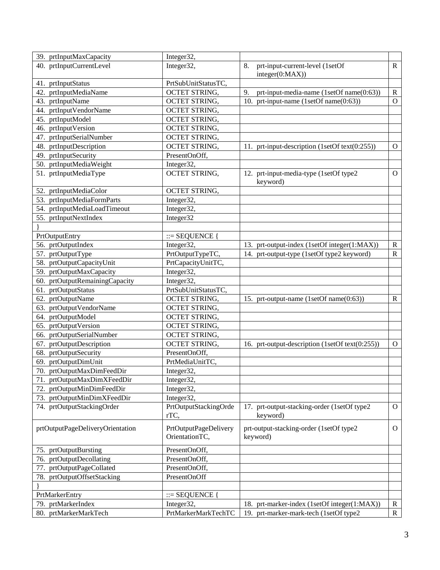| 39. prtInputMaxCapacity          | Integer32,                              |                                                         |                |
|----------------------------------|-----------------------------------------|---------------------------------------------------------|----------------|
| 40. prtInputCurrentLevel         | Integer32,                              | 8.<br>prt-input-current-level (1setOf                   | $\mathbf{R}$   |
|                                  |                                         | integer(0:MAX))                                         |                |
| 41. prtInputStatus               | PrtSubUnitStatusTC,                     |                                                         |                |
| 42. prtInputMediaName            | OCTET STRING,                           | 9.<br>prt-input-media-name (1setOf name(0:63))          | $\mathbf R$    |
| 43. prtInputName                 | <b>OCTET STRING,</b>                    | 10. prt-input-name (1setOf name(0:63))                  | $\mathbf{O}$   |
| 44. prtInputVendorName           | <b>OCTET STRING,</b>                    |                                                         |                |
| 45. prtInputModel                | <b>OCTET STRING,</b>                    |                                                         |                |
| 46. prtInputVersion              | <b>OCTET STRING,</b>                    |                                                         |                |
| 47. prtInputSerialNumber         | <b>OCTET STRING,</b>                    |                                                         |                |
| 48. prtInputDescription          | OCTET STRING,                           | 11. prt-input-description (1setOf text(0:255))          | $\mathcal{O}$  |
| 49. prtInputSecurity             | PresentOnOff,                           |                                                         |                |
| 50. prtInputMediaWeight          | Integer32,                              |                                                         |                |
| 51. prtInputMediaType            | OCTET STRING,                           | 12. prt-input-media-type (1setOf type2<br>keyword)      | $\overline{O}$ |
| 52. prtInputMediaColor           | OCTET STRING,                           |                                                         |                |
| 53. prtInputMediaFormParts       | Integer32,                              |                                                         |                |
| 54. prtInputMediaLoadTimeout     | Integer32,                              |                                                         |                |
| 55. prtInputNextIndex            | Integer32                               |                                                         |                |
|                                  |                                         |                                                         |                |
| PrtOutputEntry                   | $ ::=$ SEQUENCE                         |                                                         |                |
| 56. prtOutputIndex               | Integer32,                              | 13. prt-output-index (1setOf integer(1:MAX))            | $\mathbf R$    |
| 57. prtOutputType                | PrtOutputTypeTC,                        | 14. prt-output-type (1setOf type2 keyword)              | $\mathbf R$    |
| 58. prtOutputCapacityUnit        | PrtCapacityUnitTC,                      |                                                         |                |
| 59. prtOutputMaxCapacity         | Integer32,                              |                                                         |                |
| 60. prtOutputRemainingCapacity   | Integer32,                              |                                                         |                |
| 61. prtOutputStatus              | PrtSubUnitStatusTC,                     |                                                         |                |
| 62. prtOutputName                | <b>OCTET STRING,</b>                    | 15. prt-output-name (1setOf name(0:63))                 | $\mathbf R$    |
| 63. prtOutputVendorName          | <b>OCTET STRING,</b>                    |                                                         |                |
| 64. prtOutputModel               | <b>OCTET STRING,</b>                    |                                                         |                |
| 65. prtOutputVersion             | <b>OCTET STRING,</b>                    |                                                         |                |
| 66. prtOutputSerialNumber        | <b>OCTET STRING,</b>                    |                                                         |                |
| 67. prtOutputDescription         | OCTET STRING,                           | 16. prt-output-description (1setOf text(0:255))         | $\overline{O}$ |
| 68. prtOutputSecurity            | PresentOnOff,                           |                                                         |                |
| 69. prtOutputDimUnit             | PrtMediaUnitTC,                         |                                                         |                |
| 70. prtOutputMaxDimFeedDir       | Integer32,                              |                                                         |                |
| 71. prtOutputMaxDimXFeedDir      | Integer32,                              |                                                         |                |
| 72. prtOutputMinDimFeedDir       | Integer32,                              |                                                         |                |
| 73. prtOutputMinDimXFeedDir      | Integer32,                              |                                                         |                |
| 74. prtOutputStackingOrder       | PrtOutputStackingOrde<br>rTC,           | 17. prt-output-stacking-order (1setOf type2<br>keyword) | $\overline{O}$ |
| prtOutputPageDeliveryOrientation | PrtOutputPageDelivery<br>OrientationTC, | prt-output-stacking-order (1setOf type2<br>keyword)     | $\overline{O}$ |
| 75. prtOutputBursting            | PresentOnOff,                           |                                                         |                |
| 76. prtOutputDecollating         | PresentOnOff,                           |                                                         |                |
| 77. prtOutputPageCollated        | PresentOnOff,                           |                                                         |                |
| 78. prtOutputOffsetStacking      | PresentOnOff                            |                                                         |                |
|                                  |                                         |                                                         |                |
| PrtMarkerEntry                   | $ ::=$ SEQUENCE {                       |                                                         |                |
| 79. prtMarkerIndex               | Integer32,                              | 18. prt-marker-index (1setOf integer(1:MAX))            | $\mathbf R$    |
| 80. prtMarkerMarkTech            | PrtMarkerMarkTechTC                     | 19. prt-marker-mark-tech (1setOf type2                  | $\mathbf R$    |
|                                  |                                         |                                                         |                |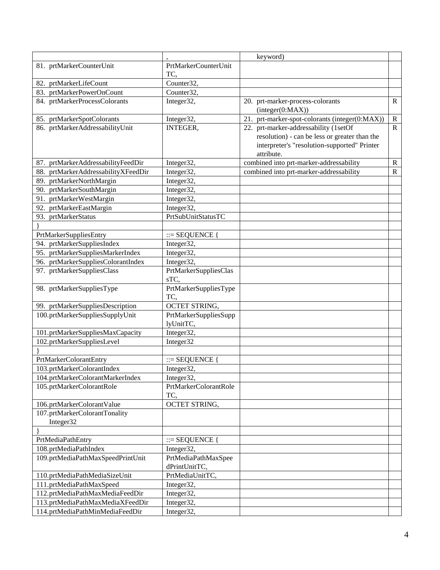|                                            |                                      | keyword)                                                                                                    |              |
|--------------------------------------------|--------------------------------------|-------------------------------------------------------------------------------------------------------------|--------------|
| 81. prtMarkerCounterUnit                   | PrtMarkerCounterUnit                 |                                                                                                             |              |
|                                            | TC.                                  |                                                                                                             |              |
| 82. prtMarkerLifeCount                     | Counter32,                           |                                                                                                             |              |
| 83. prtMarkerPowerOnCount                  | Counter32,                           |                                                                                                             |              |
| 84. prtMarkerProcessColorants              | Integer32,                           | 20. prt-marker-process-colorants<br>interger(0:MAX))                                                        | $\mathbf{R}$ |
| 85. prtMarkerSpotColorants                 | Integer32,                           | 21. prt-marker-spot-colorants (integer(0:MAX))                                                              | $\mathbf R$  |
| 86. prtMarkerAddressabilityUnit            | INTEGER,                             | 22. prt-marker-addressability (1setOf                                                                       | $\mathbb{R}$ |
|                                            |                                      | resolution) - can be less or greater than the<br>interpreter's "resolution-supported" Printer<br>attribute. |              |
| 87. prtMarkerAddressabilityFeedDir         | Integer32,                           | combined into prt-marker-addressability                                                                     | $\mathbf R$  |
| 88. prtMarkerAddressabilityXFeedDir        | Integer32,                           | combined into prt-marker-addressability                                                                     | $\mathbf R$  |
| 89. prtMarkerNorthMargin                   | Integer32,                           |                                                                                                             |              |
| 90. prtMarkerSouthMargin                   | Integer32,                           |                                                                                                             |              |
| 91. prtMarkerWestMargin                    | Integer32,                           |                                                                                                             |              |
| 92. prtMarkerEastMargin                    | Integer32,                           |                                                                                                             |              |
| 93. prtMarkerStatus                        | PrtSubUnitStatusTC                   |                                                                                                             |              |
|                                            |                                      |                                                                                                             |              |
| PrtMarkerSuppliesEntry                     | $ ::=$ SEQUENCE {                    |                                                                                                             |              |
| 94. prtMarkerSuppliesIndex                 | Integer32,                           |                                                                                                             |              |
| 95. prtMarkerSuppliesMarkerIndex           | Integer32,                           |                                                                                                             |              |
| 96. prtMarkerSuppliesColorantIndex         | Integer32,                           |                                                                                                             |              |
| 97. prtMarkerSuppliesClass                 | PrtMarkerSuppliesClas<br>sTC,        |                                                                                                             |              |
| 98. prtMarkerSuppliesType                  | PrtMarkerSuppliesType<br>TC,         |                                                                                                             |              |
| 99. prtMarkerSuppliesDescription           | OCTET STRING,                        |                                                                                                             |              |
| 100.prtMarkerSuppliesSupplyUnit            | PrtMarkerSuppliesSupp<br>lyUnitTC,   |                                                                                                             |              |
| 101.prtMarkerSuppliesMaxCapacity           | Integer32,                           |                                                                                                             |              |
| 102.prtMarkerSuppliesLevel                 | Integer32                            |                                                                                                             |              |
|                                            |                                      |                                                                                                             |              |
| PrtMarkerColorantEntry                     | $ ::=$ SEQUENCE {                    |                                                                                                             |              |
| 103.prtMarkerColorantIndex                 | Integer32,                           |                                                                                                             |              |
| 104.prtMarkerColorantMarkerIndex           | Integer32,                           |                                                                                                             |              |
| 105.prtMarkerColorantRole                  | PrtMarkerColorantRole<br>TC,         |                                                                                                             |              |
| 106.prtMarkerColorantValue                 | OCTET STRING,                        |                                                                                                             |              |
| 107.prtMarkerColorantTonality<br>Integer32 |                                      |                                                                                                             |              |
|                                            |                                      |                                                                                                             |              |
| PrtMediaPathEntry                          | $ ::=$ SEQUENCE                      |                                                                                                             |              |
| 108.prtMediaPathIndex                      | Integer32,                           |                                                                                                             |              |
| 109.prtMediaPathMaxSpeedPrintUnit          | PrtMediaPathMaxSpee<br>dPrintUnitTC, |                                                                                                             |              |
| 110.prtMediaPathMediaSizeUnit              | PrtMediaUnitTC,                      |                                                                                                             |              |
| 111.prtMediaPathMaxSpeed                   | Integer32,                           |                                                                                                             |              |
| 112.prtMediaPathMaxMediaFeedDir            | Integer32,                           |                                                                                                             |              |
| 113.prtMediaPathMaxMediaXFeedDir           | Integer32,                           |                                                                                                             |              |
| 114.prtMediaPathMinMediaFeedDir            | Integer32,                           |                                                                                                             |              |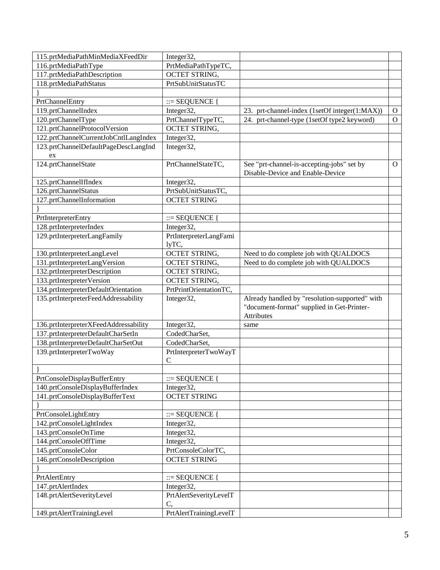| 115.prtMediaPathMinMediaXFeedDir      | Integer32,             |                                                |                |
|---------------------------------------|------------------------|------------------------------------------------|----------------|
| 116.prtMediaPathType                  | PrtMediaPathTypeTC,    |                                                |                |
| 117.prtMediaPathDescription           | <b>OCTET STRING,</b>   |                                                |                |
| 118.prtMediaPathStatus                | PrtSubUnitStatusTC     |                                                |                |
|                                       |                        |                                                |                |
| PrtChannelEntry                       | $ ::=$ SEQUENCE {      |                                                |                |
| 119.prtChannelIndex                   | Integer32,             | 23. prt-channel-index (1setOf integer(1:MAX))  | $\Omega$       |
| 120.prtChannelType                    | PrtChannelTypeTC,      | 24. prt-channel-type (1setOf type2 keyword)    | $\mathbf{O}$   |
| 121.prtChannelProtocolVersion         | <b>OCTET STRING,</b>   |                                                |                |
| 122.prtChannelCurrentJobCntlLangIndex | Integer32,             |                                                |                |
| 123.prtChannelDefaultPageDescLangInd  | Integer32,             |                                                |                |
| ex                                    |                        |                                                |                |
| 124.prtChannelState                   | PrtChannelStateTC,     | See "prt-channel-is-accepting-jobs" set by     | $\overline{O}$ |
|                                       |                        | Disable-Device and Enable-Device               |                |
| 125.prtChannelIfIndex                 | Integer32,             |                                                |                |
| 126.prtChannelStatus                  | PrtSubUnitStatusTC,    |                                                |                |
| 127.prtChannelInformation             | <b>OCTET STRING</b>    |                                                |                |
|                                       |                        |                                                |                |
| PrtInterpreterEntry                   | $ ::=$ SEQUENCE {      |                                                |                |
| 128.prtInterpreterIndex               | Integer32,             |                                                |                |
| 129.prtInterpreterLangFamily          | PrtInterpreterLangFami |                                                |                |
|                                       | lyTC,                  |                                                |                |
| 130.prtInterpreterLangLevel           | <b>OCTET STRING,</b>   | Need to do complete job with QUALDOCS          |                |
| 131.prtInterpreterLangVersion         | <b>OCTET STRING,</b>   | Need to do complete job with QUALDOCS          |                |
| 132.prtInterpreterDescription         | OCTET STRING,          |                                                |                |
| 133.prtInterpreterVersion             | <b>OCTET STRING,</b>   |                                                |                |
| 134.prtInterpreterDefaultOrientation  | PrtPrintOrientationTC, |                                                |                |
| 135.prtInterpreterFeedAddressability  | Integer32,             | Already handled by "resolution-supported" with |                |
|                                       |                        | "document-format" supplied in Get-Printer-     |                |
|                                       |                        | Attributes                                     |                |
| 136.prtInterpreterXFeedAddressability | Integer32,             | same                                           |                |
| 137.prtInterpreterDefaultCharSetIn    | CodedCharSet,          |                                                |                |
| 138.prtInterpreterDefaultCharSetOut   | CodedCharSet,          |                                                |                |
| 139.prtInterpreterTwoWay              | PrtInterpreterTwoWayT  |                                                |                |
|                                       | $\mathcal{C}$          |                                                |                |
|                                       |                        |                                                |                |
| PrtConsoleDisplayBufferEntry          | $ ::=$ SEQUENCE {      |                                                |                |
| 140.prtConsoleDisplayBufferIndex      | Integer32,             |                                                |                |
| 141.prtConsoleDisplayBufferText       | <b>OCTET STRING</b>    |                                                |                |
|                                       |                        |                                                |                |
| PrtConsoleLightEntry                  | $ ::=$ SEQUENCE        |                                                |                |
| 142.prtConsoleLightIndex              | Integer32,             |                                                |                |
| 143.prtConsoleOnTime                  | Integer32,             |                                                |                |
| 144.prtConsoleOffTime                 | Integer32,             |                                                |                |
| 145.prtConsoleColor                   | PrtConsoleColorTC,     |                                                |                |
| 146.prtConsoleDescription             | <b>OCTET STRING</b>    |                                                |                |
|                                       |                        |                                                |                |
| PrtAlertEntry                         | $ ::=$ SEQUENCE {      |                                                |                |
| 147.prtAlertIndex                     | Integer32,             |                                                |                |
| 148.prtAlertSeverityLevel             | PrtAlertSeverityLevelT |                                                |                |
|                                       | C,                     |                                                |                |
| 149.prtAlertTrainingLevel             | PrtAlertTrainingLevelT |                                                |                |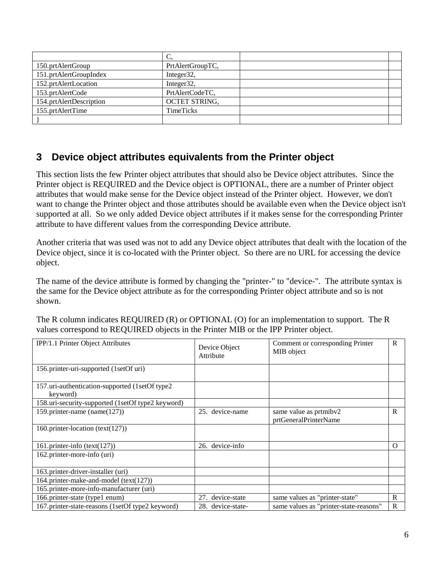| 150.prtAlertGroup       | PrtAlertGroupTC,     |  |
|-------------------------|----------------------|--|
| 151.prtAlertGroupIndex  | Integer32,           |  |
| 152.prtAlertLocation    | Integer32,           |  |
| 153.prtAlertCode        | PrtAlertCodeTC,      |  |
| 154.prtAlertDescription | <b>OCTET STRING,</b> |  |
| 155.prtAlertTime        | <b>TimeTicks</b>     |  |
|                         |                      |  |

## **3 Device object attributes equivalents from the Printer object**

This section lists the few Printer object attributes that should also be Device object attributes. Since the Printer object is REQUIRED and the Device object is OPTIONAL, there are a number of Printer object attributes that would make sense for the Device object instead of the Printer object. However, we don't want to change the Printer object and those attributes should be available even when the Device object isn't supported at all. So we only added Device object attributes if it makes sense for the corresponding Printer attribute to have different values from the corresponding Device attribute.

Another criteria that was used was not to add any Device object attributes that dealt with the location of the Device object, since it is co-located with the Printer object. So there are no URL for accessing the device object.

The name of the device attribute is formed by changing the "printer-" to "device-". The attribute syntax is the same for the Device object attribute as for the corresponding Printer object attribute and so is not shown.

| The R column indicates REQUIRED $(R)$ or OPTIONAL $(O)$ for an implementation to support. The R |  |
|-------------------------------------------------------------------------------------------------|--|
| values correspond to REQUIRED objects in the Printer MIB or the IPP Printer object.             |  |

| IPP/1.1 Printer Object Attributes                            | Device Object<br>Attribute | Comment or corresponding Printer<br>MIB object  | $\mathbb{R}$ |
|--------------------------------------------------------------|----------------------------|-------------------------------------------------|--------------|
| 156.printer-uri-supported (1setOf uri)                       |                            |                                                 |              |
| 157. uri-authentication-supported (1setOf type2)<br>keyword) |                            |                                                 |              |
| 158.uri-security-supported (1setOf type2 keyword)            |                            |                                                 |              |
| 159.printer-name (name(127))                                 | 25. device-name            | same value as prtmibv2<br>prtGeneralPrinterName | R            |
| 160.printer-location (text(127))                             |                            |                                                 |              |
| 161.printer-info $(text(127))$                               | device-info<br>26.         |                                                 | $\Omega$     |
| 162.printer-more-info (uri)                                  |                            |                                                 |              |
| 163.printer-driver-installer (uri)                           |                            |                                                 |              |
| 164.printer-make-and-model (text(127))                       |                            |                                                 |              |
| 165.printer-more-info-manufacturer (uri)                     |                            |                                                 |              |
| 166.printer-state (type1 enum)                               | 27. device-state           | same values as "printer-state"                  | $\mathbf{R}$ |
| 167.printer-state-reasons (1setOf type2 keyword)             | 28. device-state-          | same values as "printer-state-reasons"          | $\mathbb{R}$ |